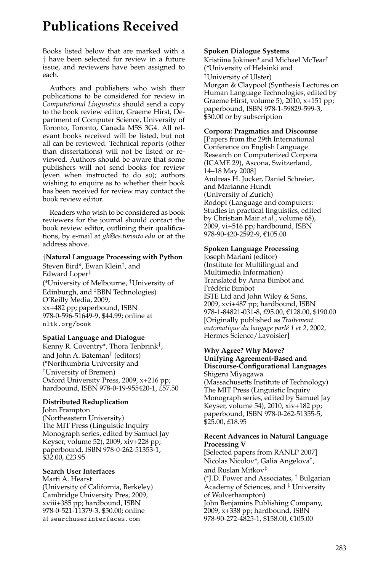# **Publications Received**

Books listed below that are marked with a † have been selected for review in a future issue, and reviewers have been assigned to each.

Authors and publishers who wish their publications to be considered for review in *Computational Linguistics* should send a copy to the book review editor, Graeme Hirst, Department of Computer Science, University of Toronto, Toronto, Canada M5S 3G4. All relevant books received will be listed, but not all can be reviewed. Technical reports (other than dissertations) will not be listed or reviewed. Authors should be aware that some publishers will not send books for review (even when instructed to do so); authors wishing to enquire as to whether their book has been received for review may contact the book review editor.

Readers who wish to be considered as book reviewers for the journal should contact the book review editor, outlining their qualifications, by e-mail at *gh@cs.toronto.edu* or at the address above.

## †**Natural Language Processing with Python**

Steven Bird\*, Ewan Klein†, and Edward Loper‡ (\*University of Melbourne, †University of Edinburgh, and ‡BBN Technologies) O'Reilly Media, 2009, xx+482 pp; paperbound, ISBN 978-0-596-51649-9, \$44.99; online at nltk.org/book

## **Spatial Language and Dialogue**

Kenny R. Coventry\*, Thora Tenbrink†, and John A. Bateman† (editors) (\*Northumbria University and †University of Bremen) Oxford University Press, 2009, x+216 pp; hardbound, ISBN 978-0-19-955420-1, £57.50

## **Distributed Reduplication**

John Frampton (Northeastern University) The MIT Press (Linguistic Inquiry Monograph series, edited by Samuel Jay Keyser, volume 52), 2009, xiv+228 pp; paperbound, ISBN 978-0-262-51353-1, \$32.00, £23.95

## **Search User Interfaces**

Marti A. Hearst (University of California, Berkeley) Cambridge University Pres, 2009, xviii+385 pp; hardbound, ISBN 978-0-521-11379-3, \$50.00; online at searchuserinterfaces.com

## **Spoken Dialogue Systems**

Kristiina Jokinen\* and Michael McTear† (\*University of Helsinki and †University of Ulster) Morgan & Claypool (Synthesis Lectures on Human Language Technologies, edited by Graeme Hirst, volume 5), 2010, x+151 pp; paperbound, ISBN 978-1-59829-599-3, \$30.00 or by subscription

## **Corpora: Pragmatics and Discourse**

[Papers from the 29th International Conference on English Language Research on Computerized Corpora (ICAME 29), Ascona, Switzerland, 14–18 May 2008] Andreas H. Jucker, Daniel Schreier, and Marianne Hundt (University of Zurich) Rodopi (Language and computers: Studies in practical linguistics, edited by Christian Mair *et al.*, volume 68), 2009, vi+516 pp; hardbound, ISBN 978-90-420-2592-9, €105.00

## **Spoken Language Processing**

Joseph Mariani (editor) (Institute for Multilingual and Multimedia Information) Translated by Anna Bimbot and Frédéric Bimbot ISTE Ltd and John Wiley & Sons, 2009, xvi+487 pp; hardbound, ISBN 978-1-84821-031-8, £95.00, €128.00, \$190.00 [Originally published as *Traitement automatique du langage parl´e 1 et 2*, 2002, Hermes Science/Lavoisier]

## **Why Agree? Why Move? Unifying Agreement-Based and Discourse-Configurational Languages**

Shigeru Miyagawa (Massachusetts Institute of Technology) The MIT Press (Linguistic Inquiry Monograph series, edited by Samuel Jay Keyser, volume 54), 2010, xiv+182 pp; paperbound, ISBN 978-0-262-51355-5, \$25.00, £18.95

## **Recent Advances in Natural Language Processing V**

[Selected papers from RANLP 2007] Nicolas Nicolov\*, Galia Angelova†, and Ruslan Mitkov‡ (\*J.D. Power and Associates, † Bulgarian Academy of Sciences, and <sup>‡</sup> University of Wolverhampton) John Benjamins Publishing Company, 2009, x+338 pp; hardbound, ISBN 978-90-272-4825-1, \$158.00, €105.00